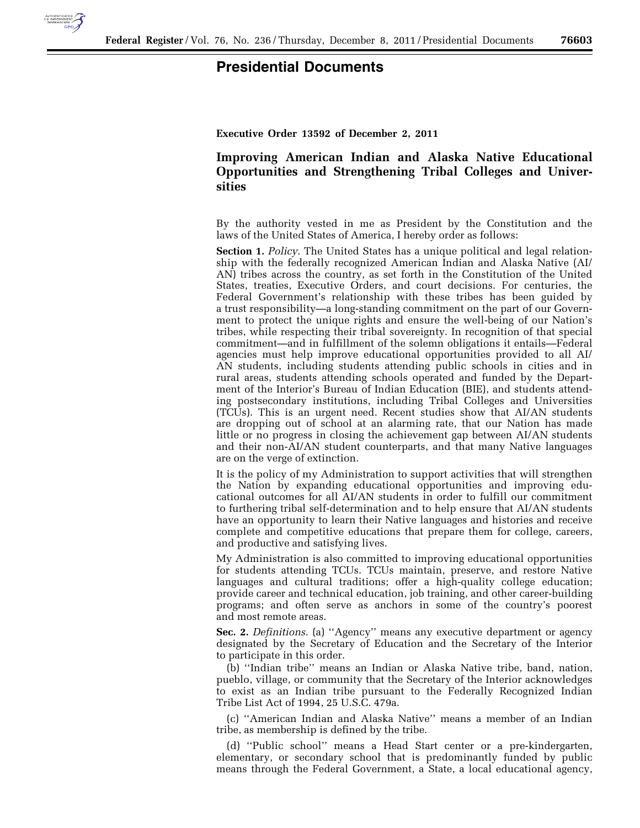

## **Presidential Documents**

**Executive Order 13592 of December 2, 2011** 

## **Improving American Indian and Alaska Native Educational Opportunities and Strengthening Tribal Colleges and Universities**

By the authority vested in me as President by the Constitution and the laws of the United States of America, I hereby order as follows:

**Section 1.** *Policy*. The United States has a unique political and legal relationship with the federally recognized American Indian and Alaska Native (AI/ AN) tribes across the country, as set forth in the Constitution of the United States, treaties, Executive Orders, and court decisions. For centuries, the Federal Government's relationship with these tribes has been guided by a trust responsibility—a long-standing commitment on the part of our Government to protect the unique rights and ensure the well-being of our Nation's tribes, while respecting their tribal sovereignty. In recognition of that special commitment—and in fulfillment of the solemn obligations it entails—Federal agencies must help improve educational opportunities provided to all AI/ AN students, including students attending public schools in cities and in rural areas, students attending schools operated and funded by the Department of the Interior's Bureau of Indian Education (BIE), and students attending postsecondary institutions, including Tribal Colleges and Universities (TCUs). This is an urgent need. Recent studies show that AI/AN students are dropping out of school at an alarming rate, that our Nation has made little or no progress in closing the achievement gap between AI/AN students and their non-AI/AN student counterparts, and that many Native languages are on the verge of extinction.

It is the policy of my Administration to support activities that will strengthen the Nation by expanding educational opportunities and improving educational outcomes for all AI/AN students in order to fulfill our commitment to furthering tribal self-determination and to help ensure that AI/AN students have an opportunity to learn their Native languages and histories and receive complete and competitive educations that prepare them for college, careers, and productive and satisfying lives.

My Administration is also committed to improving educational opportunities for students attending TCUs. TCUs maintain, preserve, and restore Native languages and cultural traditions; offer a high-quality college education; provide career and technical education, job training, and other career-building programs; and often serve as anchors in some of the country's poorest and most remote areas.

**Sec. 2.** *Definitions*. (a) ''Agency'' means any executive department or agency designated by the Secretary of Education and the Secretary of the Interior to participate in this order.

(b) ''Indian tribe'' means an Indian or Alaska Native tribe, band, nation, pueblo, village, or community that the Secretary of the Interior acknowledges to exist as an Indian tribe pursuant to the Federally Recognized Indian Tribe List Act of 1994, 25 U.S.C. 479a.

(c) ''American Indian and Alaska Native'' means a member of an Indian tribe, as membership is defined by the tribe.

(d) ''Public school'' means a Head Start center or a pre-kindergarten, elementary, or secondary school that is predominantly funded by public means through the Federal Government, a State, a local educational agency,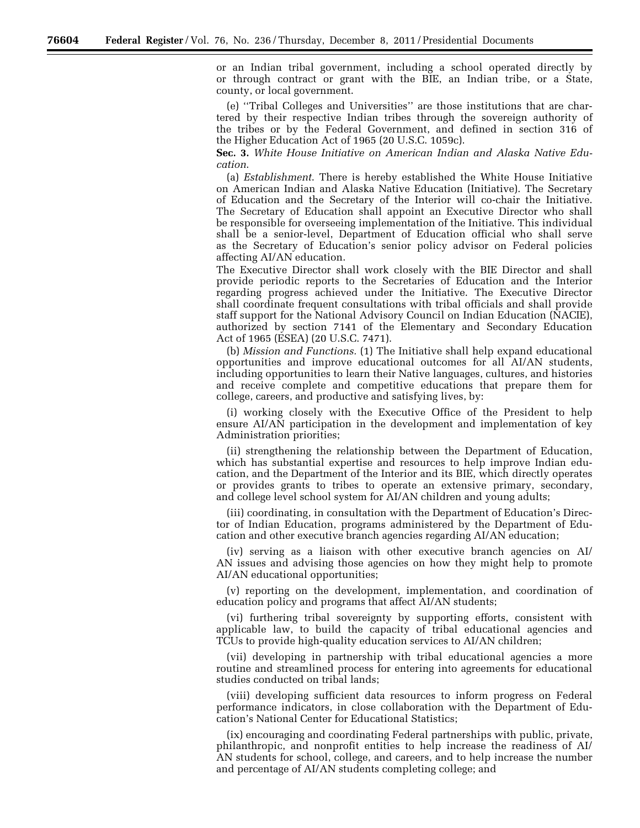or an Indian tribal government, including a school operated directly by or through contract or grant with the BIE, an Indian tribe, or a State, county, or local government.

(e) ''Tribal Colleges and Universities'' are those institutions that are chartered by their respective Indian tribes through the sovereign authority of the tribes or by the Federal Government, and defined in section 316 of the Higher Education Act of 1965 (20 U.S.C. 1059c).

**Sec. 3.** *White House Initiative on American Indian and Alaska Native Education*.

(a) *Establishment*. There is hereby established the White House Initiative on American Indian and Alaska Native Education (Initiative). The Secretary of Education and the Secretary of the Interior will co-chair the Initiative. The Secretary of Education shall appoint an Executive Director who shall be responsible for overseeing implementation of the Initiative. This individual shall be a senior-level, Department of Education official who shall serve as the Secretary of Education's senior policy advisor on Federal policies affecting AI/AN education.

The Executive Director shall work closely with the BIE Director and shall provide periodic reports to the Secretaries of Education and the Interior regarding progress achieved under the Initiative. The Executive Director shall coordinate frequent consultations with tribal officials and shall provide staff support for the National Advisory Council on Indian Education (NACIE), authorized by section 7141 of the Elementary and Secondary Education Act of 1965 (ESEA) (20 U.S.C. 7471).

(b) *Mission and Functions.* (1) The Initiative shall help expand educational opportunities and improve educational outcomes for all AI/AN students, including opportunities to learn their Native languages, cultures, and histories and receive complete and competitive educations that prepare them for college, careers, and productive and satisfying lives, by:

(i) working closely with the Executive Office of the President to help ensure AI/AN participation in the development and implementation of key Administration priorities;

(ii) strengthening the relationship between the Department of Education, which has substantial expertise and resources to help improve Indian education, and the Department of the Interior and its BIE, which directly operates or provides grants to tribes to operate an extensive primary, secondary, and college level school system for AI/AN children and young adults;

(iii) coordinating, in consultation with the Department of Education's Director of Indian Education, programs administered by the Department of Education and other executive branch agencies regarding AI/AN education;

(iv) serving as a liaison with other executive branch agencies on AI/ AN issues and advising those agencies on how they might help to promote AI/AN educational opportunities;

(v) reporting on the development, implementation, and coordination of education policy and programs that affect AI/AN students;

(vi) furthering tribal sovereignty by supporting efforts, consistent with applicable law, to build the capacity of tribal educational agencies and TCUs to provide high-quality education services to AI/AN children;

(vii) developing in partnership with tribal educational agencies a more routine and streamlined process for entering into agreements for educational studies conducted on tribal lands;

(viii) developing sufficient data resources to inform progress on Federal performance indicators, in close collaboration with the Department of Education's National Center for Educational Statistics;

(ix) encouraging and coordinating Federal partnerships with public, private, philanthropic, and nonprofit entities to help increase the readiness of AI/ AN students for school, college, and careers, and to help increase the number and percentage of AI/AN students completing college; and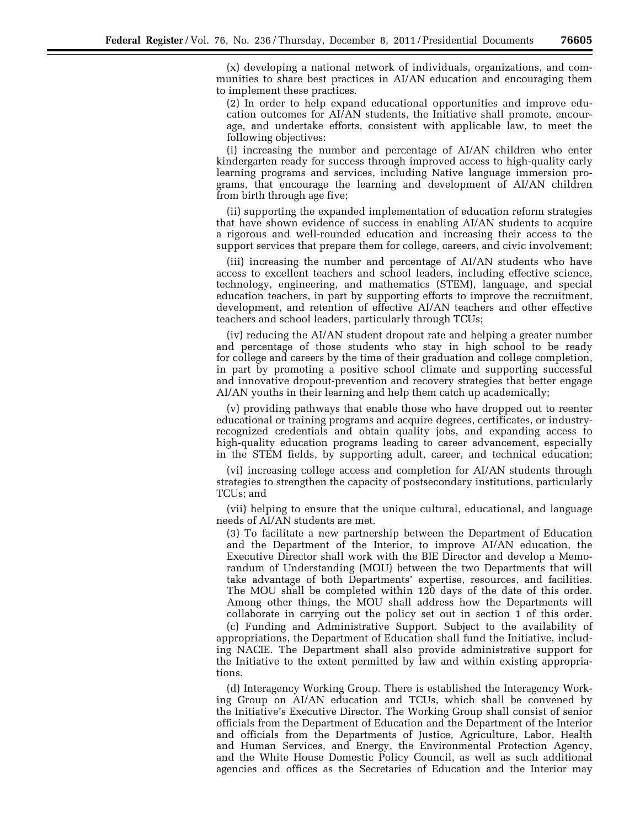(x) developing a national network of individuals, organizations, and communities to share best practices in AI/AN education and encouraging them to implement these practices.

(2) In order to help expand educational opportunities and improve education outcomes for AI/AN students, the Initiative shall promote, encourage, and undertake efforts, consistent with applicable law, to meet the following objectives:

(i) increasing the number and percentage of AI/AN children who enter kindergarten ready for success through improved access to high-quality early learning programs and services, including Native language immersion programs, that encourage the learning and development of AI/AN children from birth through age five;

(ii) supporting the expanded implementation of education reform strategies that have shown evidence of success in enabling AI/AN students to acquire a rigorous and well-rounded education and increasing their access to the support services that prepare them for college, careers, and civic involvement;

(iii) increasing the number and percentage of AI/AN students who have access to excellent teachers and school leaders, including effective science, technology, engineering, and mathematics (STEM), language, and special education teachers, in part by supporting efforts to improve the recruitment, development, and retention of effective AI/AN teachers and other effective teachers and school leaders, particularly through TCUs;

(iv) reducing the AI/AN student dropout rate and helping a greater number and percentage of those students who stay in high school to be ready for college and careers by the time of their graduation and college completion, in part by promoting a positive school climate and supporting successful and innovative dropout-prevention and recovery strategies that better engage AI/AN youths in their learning and help them catch up academically;

(v) providing pathways that enable those who have dropped out to reenter educational or training programs and acquire degrees, certificates, or industryrecognized credentials and obtain quality jobs, and expanding access to high-quality education programs leading to career advancement, especially in the STEM fields, by supporting adult, career, and technical education;

(vi) increasing college access and completion for AI/AN students through strategies to strengthen the capacity of postsecondary institutions, particularly TCUs; and

(vii) helping to ensure that the unique cultural, educational, and language needs of AI/AN students are met.

(3) To facilitate a new partnership between the Department of Education and the Department of the Interior, to improve  $\overline{A}I/AN$  education, the Executive Director shall work with the BIE Director and develop a Memorandum of Understanding (MOU) between the two Departments that will take advantage of both Departments' expertise, resources, and facilities. The MOU shall be completed within 120 days of the date of this order. Among other things, the MOU shall address how the Departments will collaborate in carrying out the policy set out in section 1 of this order.

(c) Funding and Administrative Support. Subject to the availability of appropriations, the Department of Education shall fund the Initiative, including NACIE. The Department shall also provide administrative support for the Initiative to the extent permitted by law and within existing appropriations.

(d) Interagency Working Group. There is established the Interagency Working Group on AI/AN education and TCUs, which shall be convened by the Initiative's Executive Director. The Working Group shall consist of senior officials from the Department of Education and the Department of the Interior and officials from the Departments of Justice, Agriculture, Labor, Health and Human Services, and Energy, the Environmental Protection Agency, and the White House Domestic Policy Council, as well as such additional agencies and offices as the Secretaries of Education and the Interior may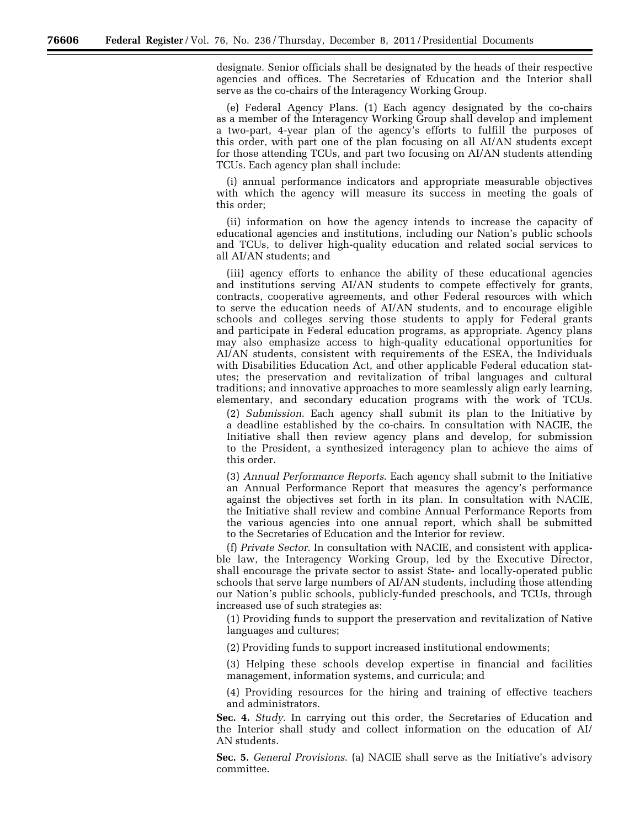designate. Senior officials shall be designated by the heads of their respective agencies and offices. The Secretaries of Education and the Interior shall serve as the co-chairs of the Interagency Working Group.

(e) Federal Agency Plans. (1) Each agency designated by the co-chairs as a member of the Interagency Working Group shall develop and implement a two-part, 4-year plan of the agency's efforts to fulfill the purposes of this order, with part one of the plan focusing on all AI/AN students except for those attending TCUs, and part two focusing on AI/AN students attending TCUs. Each agency plan shall include:

(i) annual performance indicators and appropriate measurable objectives with which the agency will measure its success in meeting the goals of this order;

(ii) information on how the agency intends to increase the capacity of educational agencies and institutions, including our Nation's public schools and TCUs, to deliver high-quality education and related social services to all AI/AN students; and

(iii) agency efforts to enhance the ability of these educational agencies and institutions serving AI/AN students to compete effectively for grants, contracts, cooperative agreements, and other Federal resources with which to serve the education needs of AI/AN students, and to encourage eligible schools and colleges serving those students to apply for Federal grants and participate in Federal education programs, as appropriate. Agency plans may also emphasize access to high-quality educational opportunities for AI/AN students, consistent with requirements of the ESEA, the Individuals with Disabilities Education Act, and other applicable Federal education statutes; the preservation and revitalization of tribal languages and cultural traditions; and innovative approaches to more seamlessly align early learning, elementary, and secondary education programs with the work of TCUs.

(2) *Submission*. Each agency shall submit its plan to the Initiative by a deadline established by the co-chairs. In consultation with NACIE, the Initiative shall then review agency plans and develop, for submission to the President, a synthesized interagency plan to achieve the aims of this order.

(3) *Annual Performance Reports*. Each agency shall submit to the Initiative an Annual Performance Report that measures the agency's performance against the objectives set forth in its plan. In consultation with NACIE, the Initiative shall review and combine Annual Performance Reports from the various agencies into one annual report, which shall be submitted to the Secretaries of Education and the Interior for review.

(f) *Private Sector*. In consultation with NACIE, and consistent with applicable law, the Interagency Working Group, led by the Executive Director, shall encourage the private sector to assist State- and locally-operated public schools that serve large numbers of AI/AN students, including those attending our Nation's public schools, publicly-funded preschools, and TCUs, through increased use of such strategies as:

(1) Providing funds to support the preservation and revitalization of Native languages and cultures;

(2) Providing funds to support increased institutional endowments;

(3) Helping these schools develop expertise in financial and facilities management, information systems, and curricula; and

(4) Providing resources for the hiring and training of effective teachers and administrators.

**Sec. 4.** *Study*. In carrying out this order, the Secretaries of Education and the Interior shall study and collect information on the education of AI/ AN students.

**Sec. 5.** *General Provisions*. (a) NACIE shall serve as the Initiative's advisory committee.